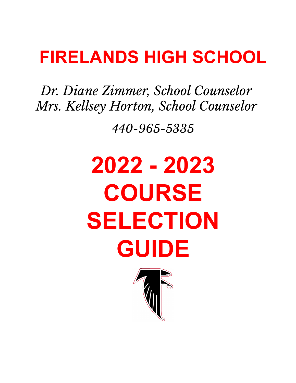## **FIRELANDS HIGH SCHOOL**

*Dr. Diane Zimmer, School Counselor Mrs. Kellsey Horton, School Counselor*

*440-965-5335*

# **2022 - 2023 COURSE SELECTION GUIDE**

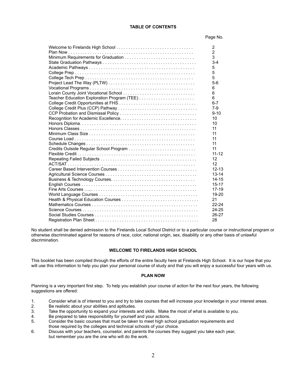#### **TABLE OF CONTENTS**

#### Page No.

| 2              |
|----------------|
| $\overline{2}$ |
| 3              |
| $3 - 4$        |
| 5              |
| 5              |
| 5              |
| $5-6$          |
| 6              |
| 6              |
| 6              |
| $6 - 7$        |
| $7-9$          |
| $9 - 10$       |
| 10             |
| 10             |
| 11             |
| 11             |
| 11             |
| 11             |
| 11             |
| $11 - 12$      |
| 12             |
| 12             |
| $12 - 13$      |
| $13 - 14$      |
| $14 - 15$      |
| $15 - 17$      |
| $17 - 19$      |
| 19-20          |
| 21             |
| $22 - 24$      |
| $24 - 25$      |
| $26 - 27$      |
| 28             |
|                |

No student shall be denied admission to the Firelands Local School District or to a particular course or instructional program or otherwise discriminated against for reasons of race, color, national origin, sex, disability or any other basis of unlawful discrimination.

#### **WELCOME TO FIRELANDS HIGH SCHOOL**

This booklet has been compiled through the efforts of the entire faculty here at Firelands High School. It is our hope that you will use this information to help you plan your personal course of study and that you will enjoy a successful four years with us.

#### **PLAN NOW**

Planning is a very important first step. To help you establish your course of action for the next four years, the following suggestions are offered:

- 1. Consider what is of interest to you and try to take courses that will increase your knowledge in your interest areas.
- 2. Be realistic about your abilities and aptitudes.
- 3. Take the opportunity to expand your interests and skills. Make the most of what is available to you.
- 4. Be prepared to take responsibility for yourself and your actions.
- 5. Consider the basic courses that must be taken to meet high school graduation requirements and those required by the colleges and technical schools of your choice.
- 6. Discuss with your teachers, counselor, and parents the courses they suggest you take each year, but remember you are the one who will do the work.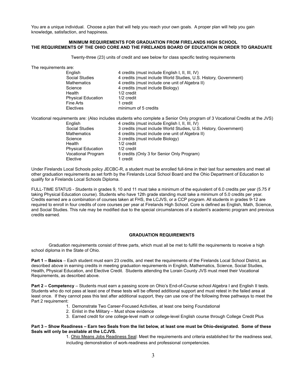You are a unique individual. Choose a plan that will help you reach your own goals. A proper plan will help you gain knowledge, satisfaction, and happiness.

#### **MINIMUM REQUIREMENTS FOR GRADUATION FROM FIRELANDS HIGH SCHOOL THE REQUIREMENTS OF THE OHIO CORE AND THE FIRELANDS BOARD OF EDUCATION IN ORDER TO GRADUATE**

Twenty-three (23) units of credit and see below for class specific testing requirements

The requirements are:

Health 1/2 credit Physical Education 1/2 credit Fine Arts 1 credit

English 4 credits (must include English I, II, III, IV) Social Studies 4 credits (must include World Studies, U.S. History, Government) Mathematics 4 credits (must include one unit of Algebra II) Science 4 credits (must include Biology) Electives minimum of 5 credits

Vocational requirements are: (Also includes students who complete a Senior Only program of 3 Vocational Credits at the JVS) English 4 credits (must include English I, II, III, IV) Social Studies 3 credits (must include World Studies, U.S. History, Government)<br>Mathematics 4 credits (must include one unit of Algebra II) 4 credits (must include one unit of Algebra II) Science 3 credits (must include Biology) Health 1/2 credit Physical Education 1/2 credit Vocational Program 6 credits (Only 3 for Senior Only Program) Elective 1 credit

Under Firelands Local Schools policy JECBC-R, a student must be enrolled full-time in their last four semesters and meet all other graduation requirements as set forth by the Firelands Local School Board and the Ohio Department of Education to qualify for a Firelands Local Schools Diploma.

FULL-TIME STATUS - Students in grades 9, 10 and 11 must take a minimum of the equivalent of 6.0 credits per year (5.75 if taking Physical Education course). Students who have 12th grade standing must take a minimum of 5.0 credits per year. Credits earned are a combination of courses taken at FHS, the LCJVS, or a CCP program. All students in grades 9-12 are required to enroll in four credits of core courses per year at Firelands High School. Core is defined as English, Math, Science, and Social Studies. This rule may be modified due to the special circumstances of a student's academic program and previous credits earned.

### **GRADUATION REQUIREMENTS**

Graduation requirements consist of three parts, which must all be met to fulfill the requirements to receive a high school diploma in the State of Ohio.

**Part 1 – Basics** – Each student must earn 23 credits, and meet the requirements of the Firelands Local School District, as described above in earning credits in meeting graduation requirements in English, Mathematics, Science, Social Studies, Health, Physical Education, and Elective Credit. Students attending the Lorain County JVS must meet their Vocational Requirements, as described above.

**Part 2 – Competency** – Students must earn a passing score on Ohio's End-of-Course school Algebra I and English II tests. Students who do not pass at least one of these tests will be offered additional support and must retest in the failed area at least once. If they cannot pass this test after additional support, they can use one of the following three pathways to meet the Part 2 requirement:

- 1. Demonstrate Two Career-Focused Activities, at least one being Foundational
- 2. Enlist in the Military Must show evidence
- 3. Earned credit for one college-level math or college-level English course through College Credit Plus

#### **Part 3 – Show Readiness – Earn two Seals from the list below, at least one must be Ohio-designated. Some of these Seals will only be available at the LCJVS.**

1. Ohio Means Jobs Readiness Seal: Meet the requirements and criteria established for the readiness seal, including demonstration of work-readiness and professional competencies.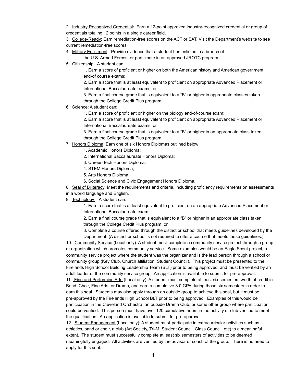2. Industry Recognized Credential: Earn a 12-point approved industry-recognized credential or group of credentials totaling 12 points in a single career field.

3. College-Ready: Earn remediation-free scores on the ACT or SAT. Visit the Department's website to see current remediation-free scores.

4. Military Enlistment: Provide evidence that a student has enlisted in a branch of

the U.S. Armed Forces; or participate in an approved JROTC program.

5. Citizenship: A student can:

1. Earn a score of proficient or higher on both the American history and American government end-of course exams;

2. Earn a score that is at least equivalent to proficient on appropriate Advanced Placement or International Baccalaureate exams; or

3. Earn a final course grade that is equivalent to a "B" or higher in appropriate classes taken through the College Credit Plus program.

- 6. Science: A student can:
	- 1. Earn a score of proficient or higher on the biology end-of-course exam;

2. Earn a score that is at least equivalent to proficient on appropriate Advanced Placement or International Baccalaureate exams; or

3. Earn a final course grade that is equivalent to a "B" or higher in an appropriate class taken through the College Credit Plus program.

- 7. Honors Diploma: Earn one of six Honors Diplomas outlined below:
	- 1. Academic Honors Diploma;
	- 2. International Baccalaureate Honors Diploma;
	- 3. Career-Tech Honors Diploma;
	- 4. STEM Honors Diploma;
	- 5. Arts Honors Diploma;
	- 6. Social Science and Civic Engagement Honors Diploma.

8. Seal of Biliteracy: Meet the requirements and criteria, including proficiency requirements on assessments in a world language and English.

9. Technology: A student can:

1. Earn a score that is at least equivalent to proficient on an appropriate Advanced Placement or International Baccalaureate exam;

2. Earn a final course grade that is equivalent to a "B" or higher in an appropriate class taken through the College Credit Plus program; or

3. Complete a course offered through the district or school that meets guidelines developed by the Department. (A district or school is not required to offer a course that meets those guidelines.)

10. Community Service (Local only): A student must complete a community service project through a group or organization which promotes community service. Some examples would be an Eagle Scout project, a community service project where the student was the organizer and is the lead person through a school or community group (Key Club, Church affiliation, Student Council). This project must be presented to the Firelands High School Building Leadership Team (BLT) prior to being approved, and must be verified by an adult leader of the community service group. An application is available to submit for pre-approval. 11. Fine and Performing Arts (Local only): A student must complete at least six semesters worth of credit in Band, Choir, Fine Arts, or Drama, and earn a cumulative 3.0 GPA during those six semesters in order to earn this seal. Students may also apply through an outside group to achieve this seal, but it must be pre-approved by the Firelands High School BLT prior to being approved. Examples of this would be

participation in the Cleveland Orchestra, an outside Drama Club, or some other group where participation could be verified. This person must have over 120 cumulative hours in the activity or club verified to meet the qualification. An application is available to submit for pre-approval.

12. Student Engagement (Local only): A student must participate in extracurricular activities such as athletics, band or choir, a club (Art Society, Tri-M, Student Council, Class Council, etc) to a meaningful extent. The student must successfully complete at least six semesters of activities to be deemed meaningfully engaged. All activities are verified by the advisor or coach of the group. There is no need to apply for this seal.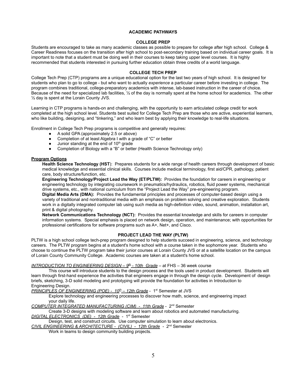#### **ACADEMIC PATHWAYS**

#### **COLLEGE PREP**

Students are encouraged to take as many academic classes as possible to prepare for college after high school. College & Career Readiness focuses on the transition after high school to post-secondary training based on individual career goals. It is important to note that a student must be doing well in their courses to keep taking upper level courses. It is highly recommended that students interested in pursuing further education obtain three credits of a world language.

#### **COLLEGE TECH PREP**

College Tech Prep (CTP) programs are a unique educational option for the last two years of high school. It is designed for students who plan to go to college - but who want to actually *experience* a particular career before investing in college. The program combines traditional, college-preparatory academics with intense, lab-based instruction in the career of choice. Because of the need for specialized lab facilities, ½ of the day is normally spent at the home school for academics. The other ½ day is spent at the Lorain County JVS.

Learning in CTP programs is hands-on and challenging, with the opportunity to earn articulated college credit for work completed at the high school level. Students best suited for College Tech Prep are those who are active, experiential learners, who like building, designing, and "tinkering," and who learn best by applying their knowledge to real-life situations.

Enrollment in College Tech Prep programs is competitive and generally requires:

- A solid GPA (approximately 2.5 or above)
- Completion of at least Algebra I with a grade of "C" or better
- $\bullet$  Junior standing at the end of 10<sup>th</sup> grade
- Completion of Biology with a "B" or better (Health Science Technology only)

#### **Program Options**

**Health Science Technology (HST**): Prepares students for a wide range of health careers through development of basic medical knowledge and essential clinical skills. Courses include medical terminology, first aid/CPR, pathology, patient care, body structure/function, etc.

**Engineering Technology/Project Lead the Way (ET/PLTW):** Provides the foundation for careers in engineering or engineering technology by integrating coursework in pneumatics/hydraulics, robotics, fluid power systems, mechanical drive systems, etc., with national curriculum from the "Project Lead the Way" pre-engineering program.

**Digital Media Arts (DMA):** Provides the fundamental principles and processes of computer-based design using a variety of traditional and nontraditional media with an emphasis on problem solving and creative exploration. Students work in a digitally integrated computer lab using such media as high-definition video, sound, animation, installation art, print & digital photography.

**Network Communications Technology (NCT):** Provides the essential knowledge and skills for careers in computer information systems. Special emphasis is placed on network design, operation, and maintenance; with opportunities for professional certifications for software programs such as A+, Net+, and Cisco.

#### **PROJECT LEAD THE WAY (PLTW)**

PLTW is a high school college tech-prep program designed to help students succeed in engineering, science, and technology careers. The PLTW program begins at a student's home school with a course taken in the sophomore year. Students who choose to continue the PLTW program take their junior courses at Lorain County JVS or at a satellite location on the campus of Lorain County Community College. Academic courses are taken at a student's home school.

#### *INTRODUCTION TO ENGINEERING DESIGN – 9th - 10th Grade* – at FHS – 36 week course

This course will introduce students to the design process and the tools used in product development. Students will learn through first-hand experience the activities that engineers engage in through the design cycle. Development of design briefs, sketching, 3-D solid modeling and prototyping will provide the foundation for activities in Introduction to Engineering Design.

*PRINCIPLES OF ENGINEERING (POE) - 10<sup>th</sup> – 12th Grade - 1<sup>st</sup> Semester at JVS* 

Explore technology and engineering processes to discover how math, science, and engineering impact your daily life.

**COMPUTER INTEGRATED MANUFACTURING (CIM) - 11th Grade** - 2<sup>nd</sup> Semester

Create 3-D designs with modeling software and learn about robotics and automated manufacturing.

### *DIGITAL ELECTRONICS (DE) - 12th Grade* - 1st Semester

Design, test, and construct circuits. Use computer simulation to learn about electronics.

*CIVIL ENGINEERING & ARCHITECTURE - (CIVIL) - 12th Grade* - 2nd Semester

Work in teams to design community building projects.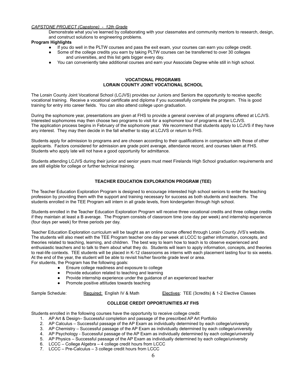### *CAPSTONE PROJECT (Capstone) - 12th Grade*

Demonstrate what you've learned by collaborating with your classmates and community mentors to research, design, and construct solutions to engineering problems.

#### **Program Highlights**

- If you do well in the PLTW courses and pass the exit exam, your courses can earn you college credit.
- Some of the college credits you earn by taking PLTW courses can be transferred to over 30 colleges and universities, and this list gets bigger every day.
- You can conveniently take additional courses and earn your Associate Degree while still in high school.

#### **VOCATIONAL PROGRAMS LORAIN COUNTY JOINT VOCATIONAL SCHOOL**

The Lorain County Joint Vocational School (LCJVS) provides our Juniors and Seniors the opportunity to receive specific vocational training. Receive a vocational certificate and diploma if you successfully complete the program. This is good training for entry into career fields. You can also attend college upon graduation.

During the sophomore year, presentations are given at FHS to provide a general overview of all programs offered at LCJVS. Interested sophomores may then choose two programs to visit for a sophomore tour of programs at the LCJVS. The application process begins in February of the sophomore year. We recommend that students apply to LCJVS if they have any interest. They may then decide in the fall whether to stay at LCJVS or return to FHS.

Students apply for admission to programs and are chosen according to their qualifications in comparison with those of other applicants. Factors considered for admission are grade point average, attendance record, and courses taken at FHS. Students who apply late will not have a good opportunity for admittance.

Students attending LCJVS during their junior and senior years must meet Firelands High School graduation requirements and are still eligible for college or further technical training.

### **TEACHER EDUCATION EXPLORATION PROGRAM (TEE)**

The Teacher Education Exploration Program is designed to encourage interested high school seniors to enter the teaching profession by providing them with the support and training necessary for success as both students and teachers. The students enrolled in the TEE Program will intern in all grade levels, from kindergarten through high school.

Students enrolled in the Teacher Education Exploration Program will receive three vocational credits and three college credits if they maintain at least a B average. The Program consists of classroom time (one day per week) and internship experience (four days per week) for three periods per day.

Teacher Education Exploration curriculum will be taught as an online course offered through Lorain County JVS's website. The students will also meet with the TEE Program teacher one day per week at LCCC to gather information, concepts, and theories related to teaching, learning, and children. The best way to learn how to teach is to observe experienced and enthusiastic teachers and to talk to them about what they do. Students will learn to apply information, concepts, and theories to real-life contexts. TEE students will be placed in K-12 classrooms as interns with each placement lasting four to six weeks. At the end of the year, the student will be able to revisit his/her favorite grade level or area. For students, the Program has the following goals:

- Ensure college readiness and exposure to college
- Provide education related to teaching and learning
- Provide internship experience under the guidance of an experienced teacher
- Promote positive attitudes towards teaching

Sample Schedule: Required: English IV & Math Electives: TEE (3credits) & 1-2 Elective Classes

### **COLLEGE CREDIT OPPORTUNITIES AT FHS**

Students enrolled in the following courses have the opportunity to receive college credit:

- 1. AP Art & Design– Successful completion and passage of the prescribed AP Art Portfolio
- 2. AP Calculus Successful passage of the AP Exam as individually determined by each college/university
- 3. AP Chemistry Successful passage of the AP Exam as individually determined by each college/university
- 4. AP Psychology Successful passage of the AP Exam as individually determined by each college/university
- 5. AP Physics Successful passage of the AP Exam as individually determined by each college/university
- 6. LCCC College Algebra 4 college credit hours from LCCC
- 7. LCCC Pre-Calculus 3 college credit hours from LCCC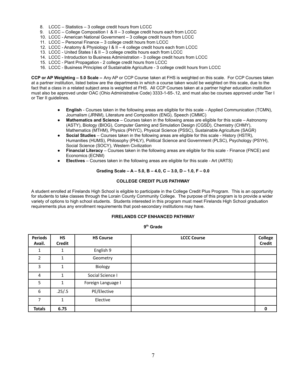- 8. LCCC Statistics 3 college credit hours from LCCC
- 9. LCCC College Composition I & II 3 college credit hours each from LCCC
- 10. LCCC American National Government 3 college credit hours from LCCC
- 11. LCCC Personal Finance 3 college credit hours from LCCC
- 12. LCCC Anatomy & Physiology I & II 4 college credit hours each from LCCC
- 13. LCCC United States I & II 3 college credits hours each from LCCC
- 14. LCCC Introduction to Business Administration 3 college credit hours from LCCC
- 15. LCCC Plant Propagation 2 college credit hours from LCCC
- 16. LCCC Business Principles of Sustainable Agriculture 3 college credit hours from LCCC

**CCP or AP Weighting – 5.0 Scale –** Any AP or CCP Course taken at FHS is weighted on this scale. For CCP Courses taken at a partner institution, listed below are the departments in which a course taken would be weighted on this scale, due to the fact that a class in a related subject area is weighted at FHS. All CCP Courses taken at a partner higher education institution must also be approved under OAC (Ohio Administrative Code) 3333-1-65-.12, and must also be courses approved under Tier I or Tier II guidelines.

- **English** Courses taken in the following areas are eligible for this scale Applied Communication (TCMN), Journalism (JRNM), Literature and Composition (ENG), Speech (CMMC)
- **Mathematics and Science** Courses taken in the following areas are eligible for this scale Astronomy (ASTY), Biology (BIOG), Computer Gaming and Simulation Design (CGSD), Chemistry (CHMY), Mathematics (MTHM), Physics (PHYC), Physical Science (PSSC), Sustainable Agriculture (SAGR)
- Social Studies Courses taken in the following areas are eligible for this scale History (HSTR), Humanities (HUMS), Philosophy (PHLY), Political Science and Government (PLSC), Psychology (PSYH), Social Science (SOCY), Western Civilization
- **Financial Literacy** Courses taken in the following areas are eligible for this scale Finance (FNCE) and Economics (ECNM)
- **Electives** Courses taken in the following areas are eligible for this scale Art (ARTS)

#### **Grading Scale – A – 5.0, B – 4.0, C – 3.0, D – 1.0, F – 0.0**

#### **COLLEGE CREDIT PLUS PATHWAY**

A student enrolled at Firelands High School is eligible to participate in the College Credit Plus Program. This is an opportunity for students to take classes through the Lorain County Community College. The purpose of this program is to provide a wider variety of options to high school students. Students interested in this program must meet Firelands High School graduation requirements plus any enrollment requirements that post-secondary institutions may have.

#### **FIRELANDS CCP ENHANCED PATHWAY**

**9 th Grade**

| <b>Periods</b><br>Avail. | <b>HS</b><br><b>Credit</b> | <b>HS Course</b>   | <b>LCCC Course</b> | College<br><b>Credit</b> |
|--------------------------|----------------------------|--------------------|--------------------|--------------------------|
|                          |                            | English 9          |                    |                          |
| $\mathcal{P}$            | 1                          | Geometry           |                    |                          |
| 3                        |                            | Biology            |                    |                          |
| 4                        | 1                          | Social Science I   |                    |                          |
| 5                        | 1                          | Foreign Language I |                    |                          |
| 6                        | .25/.5                     | PE/Elective        |                    |                          |
| 7                        | 1                          | Elective           |                    |                          |
| <b>Totals</b>            | 6.75                       |                    |                    | 0                        |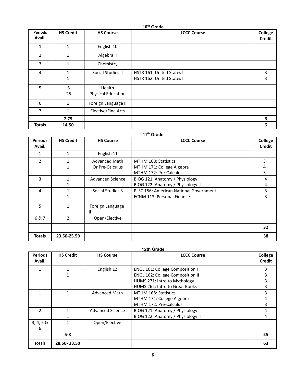| 10 <sup>th</sup> Grade   |                  |                              |                                                         |                          |
|--------------------------|------------------|------------------------------|---------------------------------------------------------|--------------------------|
| <b>Periods</b><br>Avail. | <b>HS Credit</b> | <b>HS Course</b>             | <b>LCCC Course</b>                                      | College<br><b>Credit</b> |
| 1                        | $\mathbf{1}$     | English 10                   |                                                         |                          |
| $\overline{2}$           | 1                | Algebra II                   |                                                         |                          |
| 3                        | $\mathbf{1}$     | Chemistry                    |                                                         |                          |
| 4                        | 1<br>1           | Social Studies II            | HSTR 161: United States I<br>HSTR 162: United States II | 3<br>3                   |
| 5                        | .5<br>.25        | Health<br>Physical Education |                                                         |                          |
| 6                        | 1                | Foreign Language II          |                                                         |                          |
| $\overline{7}$           | 1                | Elective/Fine Arts           |                                                         |                          |
|                          | 7.75             |                              |                                                         | 6                        |
| <b>Totals</b>            | 14.50            |                              |                                                         | 6                        |

#### **11 th Grade Periods Avail. HS Credit HS Course LCCC Course College Credit** 1 1 English 11 2  $1$ 1 Advanced Math Or Pre-Calculus MTHM 168: Statistics MTHM 171: College Algebra MTHM 172: Pre-Calculus 3 4 3 3 1 1 Advanced Science | BIOG 121: Anatomy / Physiology I BIOG 122: Anatomy / Physiology II 4 4 4 1 1 Social Studies 3 | PLSC 156: American National Government ECNM 113: Personal Finance 3 3 5 | 1 | Foreign Language III 6 & 7 2 Open/Elective **32 Totals 23.50-25.50 38**

| <b>Periods</b><br>Avail. | <b>HS Credit</b> | <b>HS Course</b>        | <b>LCCC Course</b>                      | College<br><b>Credit</b> |
|--------------------------|------------------|-------------------------|-----------------------------------------|--------------------------|
|                          |                  | English 12              | <b>ENGL 161: College Composition I</b>  | 3                        |
|                          |                  |                         | <b>ENGL 162: College Composition II</b> |                          |
|                          |                  |                         | HUMS 271: Intro to Mythology            |                          |
|                          |                  |                         | HUMS 262: Intro to Great Books          | 3                        |
|                          | 1                | <b>Advanced Math</b>    | MTHM 168: Statistics                    | ς                        |
|                          |                  |                         | MTHM 171: College Algebra               |                          |
|                          |                  |                         | MTHM 172: Pre-Calculus                  | 3                        |
| C                        |                  | <b>Advanced Science</b> | BIOG 121: Anatomy / Physiology I        | 4                        |
|                          |                  |                         | BIOG 122: Anatomy / Physiology II       | 4                        |
| 3, 4, 5 &                |                  | Open/Elective           |                                         |                          |
| 6                        |                  |                         |                                         |                          |
|                          | $5 - 8$          |                         |                                         | 25                       |
| <b>Totals</b>            | 28.50-33.50      |                         |                                         | 63                       |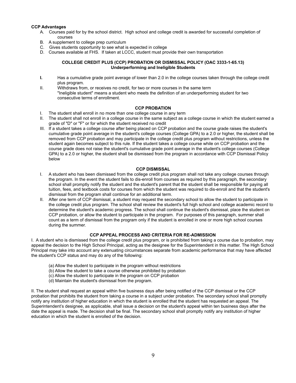#### **CCP Advantages**

- A. Courses paid for by the school district. High school and college credit is awarded for successful completion of courses
- B. A supplement to college prep curriculum
- C. Gives students opportunity to see what is expected in college
- D. Courses available at FHS. If taken at LCCC, student must provide their own transportation

### **COLLEGE CREDIT PLUS (CCP) PROBATION OR DISMISSAL POLICY (OAC 3333-1-65.13) Underperforming and Ineligible Students**

- **I.** Has a cumulative grade point average of lower than 2.0 in the college courses taken through the college credit plus program.
- II. Withdraws from, or receives no credit, for two or more courses in the same term "Ineligible student" means a student who meets the definition of an underperforming student for two consecutive terms of enrollment.

#### **CCP PROBATION**

- I. The student shall enroll in no more than one college course in any term
- II. The student shall not enroll in a college course in the same subject as a college course in which the student earned a grade of "D" or "F" or for which the student received no credit
- III. If a student takes a college course after being placed on CCP probation and the course grade raises the student's cumulative grade point average in the student's college courses (College GPA) to a 2.0 or higher, the student shall be removed from CCP probation and may participate in the college credit plus program without restrictions, unless the student again becomes subject to this rule. If the student takes a college course while on CCP probation and the course grade does not raise the student's cumulative grade point average in the student's college courses (College GPA) to a 2.0 or higher, the student shall be dismissed from the program in accordance with CCP Dismissal Policy below

#### **CCP DISMISSAL**

- I. A student who has been dismissed from the college credit plus program shall not take any college courses through the program. In the event the student fails to dis-enroll from courses as required by this paragraph, the secondary school shall promptly notify the student and the student's parent that the student shall be responsible for paying all tuition, fees, and textbook costs for courses from which the student was required to dis-enroll and that the student's dismissal from the program shall continue for an additional term.
- II. After one term of CCP dismissal, a student may request the secondary school to allow the student to participate in the college credit plus program. The school shall review the student's full high school and college academic record to determine the student's academic progress. The school shall continue the student's dismissal, place the student on CCP probation, or allow the student to participate in the program. For purposes of this paragraph, summer shall count as a term of dismissal from the program only if the student is enrolled in one or more high school courses during the summer.

### **CCP APPEAL PROCESS AND CRITERIA FOR RE-ADMISSION**

I. A student who is dismissed from the college credit plus program, or is prohibited from taking a course due to probation, may appeal the decision to the High School Principal, acting as the designee for the Superintendent in this matter. The High School Principal may take into account any extenuating circumstances separate from academic performance that may have affected the student's CCP status and may do any of the following:

- (a) Allow the student to participate in the program without restrictions
- (b) Allow the student to take a course otherwise prohibited by probation
- (c) Allow the student to participate in the program on CCP probation
- (d) Maintain the student's dismissal from the program.

II. The student shall request an appeal within five business days after being notified of the CCP dismissal or the CCP probation that prohibits the student from taking a course in a subject under probation. The secondary school shall promptly notify any institution of higher education in which the student is enrolled that the student has requested an appeal. The Superintendent's designee, as applicable, shall issue a decision on the student's appeal within ten business days after the date the appeal is made. The decision shall be final. The secondary school shall promptly notify any institution of higher education in which the student is enrolled of the decision.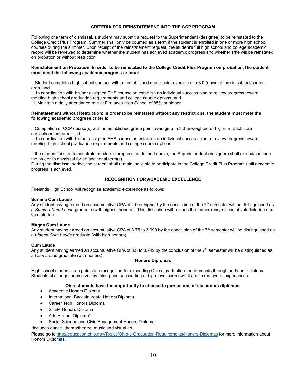#### **CRITERIA FOR REINSTATEMENT INTO THE CCP PROGRAM**

Following one term of dismissal, a student may submit a request to the Superintendent (designee) to be reinstated to the College Credit Plus Program. Summer shall only be counted as a term if the student is enrolled in one or more high school courses during the summer. Upon receipt of the reinstatement request, the student's full high school and college academic record will be reviewed to determine whether the student has achieved academic progress and whether s/he will be reinstated on probation or without restriction.

#### **Reinstatement on Probation: In order to be reinstated to the College Credit Plus Program on probation, the student must meet the following academic progress criteria:**

I. Student completes high school courses with an established grade point average of a 3.0 (unweighted) in subject/content area, and

II. In coordination with his/her assigned FHS counselor, establish an individual success plan to review progress toward meeting high school graduation requirements and college course options, and

III. Maintain a daily attendance rate at Firelands High School of 85% or higher.

#### **Reinstatement without Restriction: In order to be reinstated without any restrictions, the student must meet the following academic progress criteria:**

I. Completion of CCP course(s) with an established grade point average of a 3.0 unweighted or higher in each core subject/content area, and

II. In coordination with his/her assigned FHS counselor, establish an individual success plan to review progress toward meeting high school graduation requirements and college course options.

If the student fails to demonstrate academic progress as defined above, the Superintendent (designee) shall extend/continue the student's dismissal for an additional term(s).

During the dismissal period, the student shall remain ineligible to participate in the College Credit Plus Program until academic progress is achieved.

#### **RECOGNITION FOR ACADEMIC EXCELLENCE**

Firelands High School will recognize academic excellence as follows:

#### **Summa Cum Laude**

Any student having earned an accumulative GPA of 4.0 or higher by the conclusion of the  $7<sup>th</sup>$  semester will be distinguished as a *Summa Cum Laude* graduate (with highest honors). This distinction will replace the former recognitions of valedictorian and salutatorian.

#### **Magna Cum Laude**

Any student having earned an accumulative GPA of 3.75 to 3.999 by the conclusion of the  $7<sup>th</sup>$  semester will be distinguished as a *Magna Cum Laude* graduate (with high honors).

#### **Cum Laude**

Any student having earned an accumulative GPA of 3.5 to 3.749 by the conclusion of the  $7<sup>th</sup>$  semester will be distinguished as a *Cum Laude* graduate (with honors).

### **Honors Diplomas**

High school students can gain state recognition for exceeding Ohio's graduation requirements through an honors diploma. Students challenge themselves by taking and succeeding at high-level coursework and in real-world experiences.

#### **Ohio students have the opportunity to choose to pursue one of six honors diplomas:**

- Academic Honors Diploma
- International Baccalaureate Honors Diploma
- Career Tech Honors Diploma
- STEM Honors Diploma
- Arts Honors Diploma\*
- Social Science and Civic Engagement Honors Diploma

\*includes dance, drama/theatre, music and visual art.

Please go to <http://education.ohio.gov/Topics/Ohio-s-Graduation-Requirements/Honors-Diplomas> for more information about Honors Diplomas.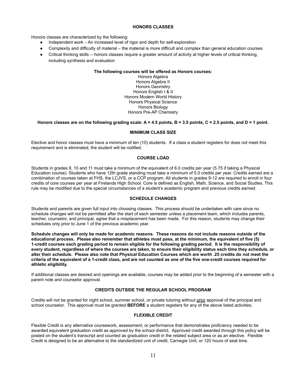#### **HONORS CLASSES**

Honors classes are characterized by the following:

- Independent work  $-$  An increased level of rigor and depth for self-exploration
- Complexity and difficulty of material the material is more difficult and complex than general education courses
- Critical thinking skills -- honors classes require a greater amount of activity at higher levels of critical thinking, including synthesis and evaluation

#### **The following courses will be offered as Honors courses:**

Honors Algebra Honors Algebra II Honors Geometry Honors English I & II Honors Modern World History Honors Physical Science Honors Biology Honors Pre-AP Chemistry

#### **Honors classes are on the following grading scale: A = 4.5 points, B = 3.5 points, C = 2.5 points, and D = 1 point.**

#### **MINIMUM CLASS SIZE**

Elective and honor classes must have a minimum of ten (10) students. If a class a student registers for does not meet this requirement and is eliminated, the student will be notified.

### **COURSE LOAD**

Students in grades 9, 10 and 11 must take a minimum of the equivalent of 6.0 credits per year (5.75 if taking a Physical Education course). Students who have 12th grade standing must take a minimum of 5.0 credits per year. Credits earned are a combination of courses taken at FHS, the LCJVS, or a CCP program. All students in grades 9-12 are required to enroll in four credits of core courses per year at Firelands High School. Core is defined as English, Math, Science, and Social Studies. This rule may be modified due to the special circumstances of a student's academic program and previous credits earned.

#### **SCHEDULE CHANGES**

Students and parents are given full input into choosing classes. This process should be undertaken with care since no schedule changes will not be permitted after the start of each semester unless a placement team, which includes parents, teacher, counselor, and principal, agree that a misplacement has been made. For this reason, students may change their schedules only prior to June 1 of the previous academic year.

**Schedule changes will only be made for academic reasons. These reasons do not include reasons outside of the educational process. Please also remember that athletes must pass, at the minimum, the equivalent of five (5) 1-credit courses each grading period to remain eligible for the following grading period. It is the responsibility of every student, regardless of where the courses are taken, to ensure their eligibility status each time they schedule, or alter their schedule. Please also note that Physical Education Courses which are worth .25 credits do not meet the criteria of the equivalent of a 1-credit class, and are not counted as one of the five one-credit courses required for athletic eligibility.**

If additional classes are desired and openings are available, courses may be added prior to the beginning of a semester with a parent note and counselor approval.

### **CREDITS OUTSIDE THE REGULAR SCHOOL PROGRAM**

Credits will not be granted for night school, summer school, or private tutoring without prior approval of the principal and school counselor. This approval must be granted **BEFORE** a student registers for any of the above listed activities.

### **FLEXIBLE CREDIT**

Flexible Credit is any alternative coursework, assessment, or performance that demonstrates proficiency needed to be awarded equivalent graduation credit as approved by the school district. Approved credit awarded through this policy will be posted on the student's transcript and counted as graduation credit in the related subject area or as an elective. Flexible Credit is designed to be an alternative to the standardized unit of credit, Carnegie Unit, or 120 hours of seat time.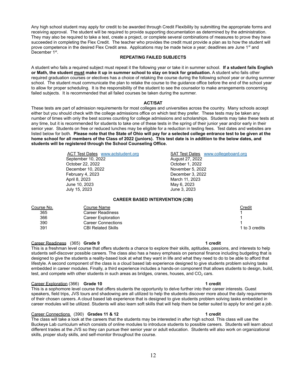Any high school student may apply for credit to be awarded through Credit Flexibility by submitting the appropriate forms and receiving approval. The student will be required to provide supporting documentation as determined by the administration. They may also be required to take a test, create a project, or complete several combinations of measures to prove they have succeeded in completing the Flex Credit. The teacher who provides the credit must provide a plan as to how the student will prove competence in the desired Flex Credit area. Applications may be made twice a year; deadlines are June 1<sup>st</sup> and December 1st.

#### **REPEATING FAILED SUBJECTS**

A student who fails a required subject must repeat it the following year or take it in summer school. **If a student fails English or Math, the student must make it up in summer school to stay on track for graduation.** A student who fails other required graduation courses or electives has a choice of retaking the course during the following school year or during summer school. The student must communicate the plan to retake the course to the guidance office before the end of the school year to allow for proper scheduling. It is the responsibility of the student to see the counselor to make arrangements concerning failed subjects. It is recommended that all failed courses be taken during the summer.

#### **ACT/SAT**

These tests are part of admission requirements for most colleges and universities across the country. Many schools accept either but you should check with the college admissions office on which test they prefer. These tests may be taken any number of times with only the best scores counting for college admissions and scholarships. Students may take these tests at any time, but it is recommended for students to take one of these tests in the spring of their junior year and/or early in their senior year. Students on free or reduced lunches may be eligible for a reduction in testing fees. Test dates and websites are listed below for both. **Please note that the State of Ohio will pay for a selected college entrance test to be given at the home school for all members of the Class of 2022 (juniors). This test date is in addition to the below dates, and students will be registered through the School Counseling Office.**

> September 10, 2022 **August 27, 2022** October 22, 2022 October 1, 2022 December 10, 2022 November 5, 2022 February 4, 2023 December 3, 2022 April 8, 2023 March 11, 2023 June 10, 2023 May 6, 2023 July 15, 2023 June 3, 2023

ACT Test Dates [www.actstudent.org](http://www.actstudent.org) SAT Test Dates [www.collegeboard.org](http://www.collegeboard.org)

### **CAREER BASED INTERVENTION (CBI)**

| Course No. | Course Name               | <u>Credit</u>  |
|------------|---------------------------|----------------|
| 365        | Career Readiness          |                |
| 366        | Career Exploration        |                |
| 390        | <b>Career Connections</b> |                |
| 391        | <b>CBI Related Skills</b> | 1 to 3 credits |
|            |                           |                |

#### Career Readiness (365) **Grade 9 1 credit**

This is a freshman level course that offers students a chance to explore their skills, aptitudes, passions, and interests to help students self-discover possible careers. The class also has a heavy emphasis on personal finance including budgeting that is designed to give the students a reality-based look at what they want in life and what they need to do to be able to afford that lifestyle. A second component of the class is a cloud based lab experience designed to give students problem solving tasks embedded in career modules. Finally, a third experience includes a hands-on component that allows students to design, build, test, and compete with other students in such areas as bridges, cranes, houses, and  $CO<sub>2</sub>$  cars.

#### Career Exploration (366) **Grade 10 1 credit**

This is a sophomore level course that offers students the opportunity to delve further into their career interests. Guest speakers, field trips, JVS tours and shadowing are all utilized to help the students discover more about the daily requirements of their chosen careers. A cloud based lab experience that is designed to give students problem solving tasks embedded in career modules will be utilized. Students will also learn soft skills that will help them be better suited to apply for and get a job.

#### Career Connections (390) **Grades 11 & 12 1 credit**

The class will take a look at the careers that the students may be interested in after high school. This class will use the Buckeye Lab curriculum which consists of online modules to introduce students to possible careers. Students will learn about different trades at the JVS so they can pursue their senior year or adult education. Students will also work on organizational skills, proper study skills, and self-monitor throughout the course.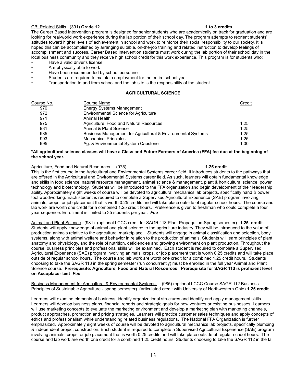### CBI Related Skills. (391) **Grade 12 1 to 3 credits**

The Career Based Intervention program is designed for senior students who are academically on track for graduation and are looking for real-world work experience during the lab portion of their school day. The program attempts to reorient students' attitudes toward higher levels of achievement in school and work to reinforce their social responsibility to our society. It is hoped this can be accomplished by arranging suitable, on-the-job training and related instruction to develop feelings of accomplishment and success. Career Based Intervention students must work during the lab portion of their school day in the local business community and they receive high school credit for this work experience. This program is for students who:

- Have a valid driver's license
- Are physically able to work
- Have been recommended by school personnel
- Students are required to maintain employment for the entire school year.
- Transportation to and from school and the job site is the responsibility of the student.

#### **AGRICULTURAL SCIENCE**

| Course No. | Course Name                                                  | Credit |
|------------|--------------------------------------------------------------|--------|
| 970        | Energy Systems Management                                    |        |
| 972        | <b>Environmental Science for Agriculture</b>                 |        |
| 971        | Animal Health                                                |        |
| 975        | Agriculture, Food and Natural Resources                      | 1.25   |
| 981        | Animal & Plant Science                                       | 1.25   |
| 985        | Business Management for Agricultural & Environmental Systems | 1.25   |
| 993        | <b>Mechanical Principles</b>                                 | 1.25   |
| 995        | Ag. & Environmental System Capstone                          | 1.00   |

#### **\*All agricultural science classes will have a Class and Future Farmers of America (FFA) fee due at the beginning of the school year.**

#### Agriculture, Food and Natural Resources (975) **1.25 credit**

This is the first course in the Agricultural and Environmental Systems career field. It introduces students to the pathways that are offered in the Agricultural and Environmental Systems career field. As such, learners will obtain fundamental knowledge and skills in food science, natural resource management, animal science & management, plant & horticultural science, power technology and biotechnology. Students will be introduced to the FFA organization and begin development of their leadership ability. Approximately eight weeks of course will be devoted to agricultural mechanics lab projects, specifically hand & power tool woodworking. Each student is required to complete a Supervised Agricultural Experience (SAE) program involving animals, crops, or job placement that is worth 0.25 credits and will take place outside of regular school hours. The course and lab work are worth one credit for a combined 1.25 credit hours. Preference is given to freshman who could complete a four year sequence. Enrollment is limited to 35 students per year. *Fee*

Animal and Plant Science (981) (optional LCCC credit for SAGR 113 Plant Propagation-Spring semester) **1.25 credit** Students will apply knowledge of animal and plant science to the agriculture industry. They will be introduced to the value of production animals relative to the agricultural marketplace. Students will engage in animal classification and selection, body systems, along with animal welfare and behavior in relation to the production of animals. Students will learn principles of plant anatomy and physiology, and the role of nutrition, deficiencies and growing environment on plant production. Throughout the course, business principles and professional skills will be examined. Each student is required to complete a Supervised Agricultural Experience (SAE) program involving animals, crops, or job placement that is worth 0.25 credits and will take place outside of regular school hours. The course and lab work are worth one credit for a combined 1.25 credit hours. Students choosing to take the SAGR 113 in the spring semester (run concurrently) must be enrolled in the full year Animal and Plant Science course. **Prerequisite: Agriculture, Food and Natural Resources Prerequisite for SAGR 113 is proficient level on Accuplacer test** *Fee*

Business Management for Agricultural & Environmental Systems (985) (optional LCCC Course SAGR 112 Business Principles of Sustainable Agriculture - spring semester) (articulated credit with University of Northwestern Ohio) **1.25 credit**

Learners will examine elements of business, identify organizational structures and identify and apply management skills. Learners will develop business plans, financial reports and strategic goals for new ventures or existing businesses. Learners will use marketing concepts to evaluate the marketing environment and develop a marketing plan with marketing channels, product approaches, promotion and pricing strategies. Learners will practice customer sales techniques and apply concepts of ethics and professionalism while understanding related business regulations. The National FFA Organization is further emphasized. Approximately eight weeks of course will be devoted to agricultural mechanics lab projects, specifically plumbing & independent project construction. Each student is required to complete a Supervised Agricultural Experience (SAE) program involving animals, crops, or job placement that is worth 0.25 credits and will take place outside of regular school hours. The course and lab work are worth one credit for a combined 1.25 credit hours Students choosing to take the SAGR 112 in the fall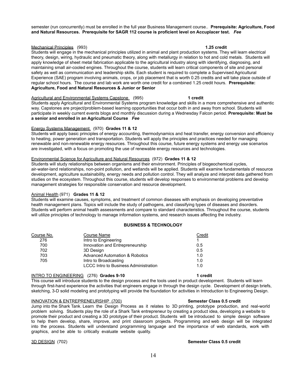semester (run concurrently) must be enrolled in the full year Business Management course.. **Prerequisite: Agriculture, Food and Natural Resources. Prerequisite for SAGR 112 course is proficient level on Accuplacer test.** *Fee*

### Mechanical Principles (993) **1.25 credit**

Students will engage in the mechanical principles utilized in animal and plant production systems. They will learn electrical theory, design, wiring, hydraulic and pneumatic theory, along with metallurgy in relation to hot and cold metals. Students will apply knowledge of sheet metal fabrication applicable to the agricultural industry along with identifying, diagnosing, and maintaining small air-cooled engines. Throughout the course, students will learn critical components of site and personal safety as well as communication and leadership skills. Each student is required to complete a Supervised Agricultural Experience (SAE) program involving animals, crops, or job placement that is worth 0.25 credits and will take place outside of regular school hours. The course and lab work are worth one credit for a combined 1.25 credit hours. **Prerequisite: Agriculture, Food and Natural Resources & Junior or Senior**

#### Agricultural and Environmental Systems Capstone (995) **1 credit**

Students apply Agricultural and Environmental Systems program knowledge and skills in a more comprehensive and authentic way. Capstones are project/problem-based learning opportunities that occur both in and away from school. Students will participate in weekly current events blogs and monthly discussion during a Wednesday Falcon period. **Prerequisite: Must be a senior and enrolled in an Agricultural Course** *Fee*

#### Energy Systems Management (970) **Grades 11 & 12**

Students will apply basic principles of energy accounting, thermodynamics and heat transfer, energy conversion and efficiency to heating, power generation and transportation. Students will apply the principles and practices needed for managing renewable and non-renewable energy resources. Throughout this course, future energy systems and energy use scenarios are investigated, with a focus on promoting the use of renewable energy resources and technologies.

#### Environmental Science for Agriculture and Natural Resources (972) **Grades 11 & 12**

Students will study relationships between organisms and their environment. Principles of biogeochemical cycles, air-water-land relationships, non-point pollution, and wetlands will be applied. Students will examine fundamentals of resource development, agriculture sustainability, energy needs and pollution control. They will analyze and interpret data gathered from studies on the ecosystem. Throughout this course, students will develop responses to environmental problems and develop management strategies for responsible conservation and resource development.

#### Animal Health (971) **Grades 11 & 12**

Students will examine causes, symptoms, and treatment of common diseases with emphasis on developing preventative health management plans. Topics will include the study of pathogens, and classifying types of diseases and disorders. Students will perform animal health assessments and compare to standard characteristics. Throughout the course, students will utilize principles of technology to manage information systems, and research issues affecting the industry.

#### **BUSINESS & TECHNOLOGY**

| Course No. | <b>Course Name</b>                           | Credit |
|------------|----------------------------------------------|--------|
| 276        | Intro to Engineering                         |        |
| 700        | Innovation and Entrepreneurship              | 0.5    |
| 702        | 3D Design                                    | 0.5    |
| 703        | <b>Advanced Automation &amp; Robotics</b>    | 1.0    |
| 705        | Intro to Broadcasting                        | 1.0    |
|            | <b>LCCC Intro to Business Administration</b> | 1.0    |
|            |                                              |        |

#### INTRO TO ENGINEERING (276) **Grades 9-10 1 credit**

This course will introduce students to the design process and the tools used in product development. Students will learn through first-hand experience the activities that engineers engage in through the design cycle. Development of design briefs, sketching, 3-D solid modeling and prototyping will provide the foundation for activities in Introduction to Engineering Design.

#### INNOVATION & ENTREPRENEURSHIP (700) **Semester Class 0.5 credit**

Jump into the Shark Tank. Learn the Design Process as it relates to 3D printing, prototype production, and real-world problem solving. Students play the role of a Shark Tank entrepreneur by creating a product idea, developing a website to promote their product and creating a 3D prototype of their product. Students will be introduced to simple design software to help them develop, share, improve, and print classroom projects. Programming and web design will be integrated into the process. Students will understand programming language and the importance of web standards, work with graphics, and be able to critically evaluate website quality.

### 3D DESIGN (702) **Semester Class 0.5 credit**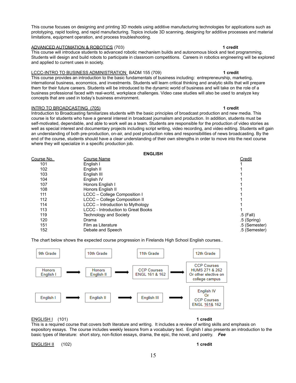This course focuses on designing and printing 3D models using additive manufacturing technologies for applications such as prototyping, rapid tooling, and rapid manufacturing. Topics include 3D scanning, designing for additive processes and material limitations, equipment operation, and process troubleshooting.

#### ADVANCED AUTOMATION & ROBOTICS (703) **1 credit**

This course will introduce students to advanced robotic mechanism builds and autonomous block and text programming. Students will design and build robots to participate in classroom competitions. Careers in robotics engineering will be explored and applied to current uses in society.

#### LCCC-INTRO TO BUSINESS ADMINISTRATION BADM 155 (709) **1 credit**

This course provides an introduction to the basic fundamentals of business including: entrepreneurship, marketing, international business, economics, and investments. Students will learn critical thinking and analytic skills that will prepare them for their future careers. Students will be introduced to the dynamic world of business and will take on the role of a business professional faced with real-world, workplace challenges. Video case studies will also be used to analyze key concepts that are used in today's business environment.

#### INTRO TO BROADCASTING (705) **1 credit**

Introduction to Broadcasting familiarizes students with the basic principles of broadcast production and new media. This course is for students who have a general interest in broadcast journalism and production. In addition, students must be self-motivated, dependable, and able to work well as a team. Students are responsible for the production of video stories as well as special interest and documentary projects including script writing, video recording, and video editing. Students will gain an understanding of both pre-production, on-air, and post production roles and responsibilities of news broadcasting. By the end of the course, students should have a clear understanding of their own strengths in order to move into the next course where they will specialize in a specific production job.

**ENGLISH**

|            | емэнэн                                    |               |
|------------|-------------------------------------------|---------------|
| Course No. | Course Name                               | Credit        |
| 101        | English I                                 |               |
| 102        | English II                                |               |
| 103        | English III                               |               |
| 104        | English IV                                |               |
| 107        | Honors English I                          |               |
| 108        | Honors English II                         |               |
| 111        | LCCC - College Composition I              |               |
| 112        | LCCC - College Composition II             |               |
| 114        | LCCC - Introduction to Mythology          |               |
| 113        | <b>LCCC - Introduction to Great Books</b> |               |
| 119        | <b>Technology and Society</b>             | $.5$ (Fall)   |
| 120        | Drama                                     | $.5$ (Spring) |
| 151        | Film as Literature                        | .5 (Semester) |
| 152        | Debate and Speech                         | .5 (Semester) |

The chart below shows the expected course progression in Firelands High School English courses..



ENGLISH I (101) **1 credit**

This is a required course that covers both literature and writing. It includes a review of writing skills and emphasis on expository essays. The course includes weekly lessons from a vocabulary text. English I also presents an introduction to the basic types of literature: short story, non-fiction essays, drama, the epic, the novel, and poetry. *Fee*

ENGLISH II (102) **1 credit**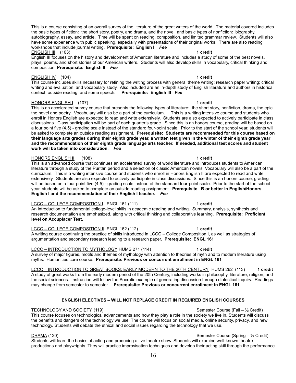This is a course consisting of an overall survey of the literature of the great writers of the world. The material covered includes the basic types of fiction: the short story, poetry, and drama, and the novel; and basic types of nonfiction: biography, autobiography, essay, and article. Time will be spent on reading, composition, and limited grammar review. Students will also have some experience with public speaking, especially with presentations of their original works. There are also reading workshops that include journal writing. **Prerequisite: English I** *Fee* ENGLISH III (103) **1 credit**

English III focuses on the history and development of American literature and includes a study of some of the best novels, plays, poems, and short stories of our American writers. Students will also develop skills in vocabulary, critical thinking and composition. **Prerequisite: English II** *Fee*

### ENGLISH IV (104) **1 credit**

This course includes skills necessary for refining the writing process with general theme writing; research paper writing; critical writing and evaluation; and vocabulary study. Also included are an in-depth study of English literature and authors in historical context, outside reading, and some speech. **Prerequisite: English III** *Fee*

### HONORS ENGLISH I (107) **1 credit**

This is an accelerated survey course that presents the following types of literature: the short story, nonfiction, drama, the epic, the novel and poetry. Vocabulary will also be a part of the curriculum. . This is a writing intensive course and students who enroll in Honors English are expected to read and write extensively. Students are also expected to actively participate in class discussions. Class participation will be part of each quarter's grade. Since this is an honors course, grading will be based on a four point five (4.5) - grading scale instead of the standard four-point scale. Prior to the start of the school year, students will be asked to complete an outside reading assignment. **Prerequisite: Students are recommended for this course based on their language arts grades during their eighth grade year, a written test given in the winter of their eighth grade year and the recommendation of their eighth grade language arts teacher. If needed, additional test scores and student work will be taken into consideration**. *Fee*

#### HONORS ENGLISH II (108) **1 credit**

This is an advanced course that continues an accelerated survey of world literature and introduces students to American literature through a study of the Puritan period and a selection of classic American novels. Vocabulary will also be a part of the curriculum. This is a writing intensive course and students who enroll in Honors English II are expected to read and write extensively. Students are also expected to actively participate in class discussions. Since this is an honors course, grading will be based on a four point five (4.5) - grading scale instead of the standard four-point scale. Prior to the start of the school year, students will be asked to complete an outside reading assignment. **Prerequisite**: **B or better in English/Honors English I and the recommendation of their English I teacher.** *Fee*

#### LCCC – COLLEGE COMPOSITION I ENGL 161 (111) **1 credit**

An introduction to fundamental college-level skills in academic reading and writing. Summary, analysis, synthesis and research documentation are emphasized, along with critical thinking and collaborative learning. **Prerequisite: Proficient level on Accuplacer Test.**

LCCC – COLLEGE COMPOSITION II ENGL 162 (112) **1 credit** A writing course continuing the practice of skills introduced in LCCC – College Composition I, as well as strategies of argumentation and secondary research leading to a research paper. **Prerequisite: ENGL 161**

LCCC – INTRODUCTION TO MYTHOLOGY HUMS 271 (114) **1 credit** A survey of major figures, motifs and themes of mythology with attention to theories of myth and to modern literature using myths. Humanities core course. **Prerequisite: Previous or concurrent enrollment in ENGL 161**

LCCC – INTRODUCTION TO GREAT BOOKS: EARLY MODERN TO THE 20TH CENTURY HUMS 262 (113) **1 credit** A study of great works from the early modern period of the 20th Century, including works in philosophy, literature, religion, and the social sciences. Instruction will follow the Socratic example of generating discussion through dialectical inquiry. Readings may change from semester to semester. . **Prerequisite: Previous or concurrent enrollment in ENGL 161**

### **ENGLISH ELECTIVES – WILL NOT REPLACE CREDIT IN REQUIRED ENGLISH COURSES**

#### TECHNOLOGY AND SOCIETY (119) SEMESTER COURSE SEMESTER COURSE (Fall – 1/2 Credit)

This course focuses on technological advancements and how they play a role in the society we live in. Students will discuss the benefits and dangers of the technology we use. The course will focus on social media, online security, privacy, and new technology. Students will debate the ethical and social issues regarding the technology that we use.

#### DRAMA (120) Semester Course (Spring – ½ Credit)

Students will learn the basics of acting and producing a live theatre show. Students will examine well-known theatre productions and playwrights. They will practice improvisation techniques and develop their acting skill through the performance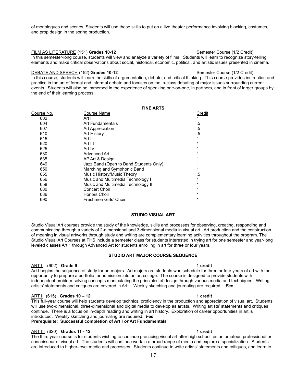of monologues and scenes. Students will use these skills to put on a live theater performance involving blocking, costumes, and prop design in the spring production.

FILM AS LITERATURE (151) **Grades 10-12** Semester Course (1/2 Credit)

In this semester-long course, students will view and analyze a variety of films. Students will learn to recognize story-telling elements and make critical observations about social, historical, economic, political, and artistic issues presented in cinema.

### DEBATE AND SPEECH (152) **Grades 10-12** Semester Course (1/2 Credit)

In this course, students will learn the skills of argumentation, debate, and critical thinking. This course provides instruction and practice in the art of formal and informal debate and focuses on the in-class debating of major issues surrounding current events. Students will also be immersed in the experience of speaking one-on-one, in partners, and in front of larger groups by the end of their learning process.

|            | <b>FINE ARTS</b>                       |        |
|------------|----------------------------------------|--------|
| Course No. | Course Name                            | Credit |
| 602        | Art I                                  |        |
| 604        | Art Fundamentals                       | .5     |
| 607        | Art Appreciation                       | .5     |
| 610        | <b>Art History</b>                     | .5     |
| 615        | Art II                                 |        |
| 620        | Art III                                |        |
| 625        | Art IV                                 |        |
| 630        | Advanced Art                           |        |
| 635        | AP Art & Design                        |        |
| 649        | Jazz Band (Open to Band Students Only) |        |
| 650        | Marching and Symphonic Band            |        |
| 655        | Music History/Music Theory             | .5     |
| 656        | Music and Multimedia Technology I      |        |
| 658        | Music and Multimedia Technology II     |        |
| 680        | Concert Choir                          |        |
| 686        | Honors Choir                           |        |
| 690        | Freshmen Girls' Choir                  |        |
|            |                                        |        |

### **STUDIO VISUAL ART**

Studio Visual Art courses provide the study of the knowledge, skills and processes for observing, creating, responding and communicating through a variety of 2-dimensional and 3-dimensional media in visual art. Art production and the construction of meaning in visual artworks through study and writing are complementary learning activities throughout the program. The Studio Visual Art Courses at FHS include a semester class for students interested in trying art for one semester and year-long leveled classes Art 1 through Advanced Art for students enrolling in art for three or four years.

### **STUDIO ART MAJOR COURSE SEQUENCE**

### ART I (602) **Grade 9 1 credit**

Art I begins the sequence of study for art majors. Art majors are students who schedule for three or four years of art with the opportunity to prepare a portfolio for admission into an art college. The course is designed to provide students with independent problem-solving concepts manipulating the principles of design through various media and techniques. Writing artists' statements and critiques are covered in Art I. Weekly sketching and journaling are required. *Fee*

### ART II (615) **Grades 10 – 12 1 credit**

This full-year course will help students develop technical proficiency in the production and appreciation of visual art. Students will use two-dimensional, three-dimensional and digital media to develop as artists. Writing artists' statements and critiques continue. There is a focus on in-depth reading and writing in art history. Exploration of career opportunities in art is introduced. Weekly sketching and journaling are required. *Fee*

### **Prerequisite: Successful completion of Art I** *or* **Art Fundamentals**

### ART III (620) **Grades 11 - 12 1 credit**

The third year course is for students wishing to continue practicing visual art after high school, as an amateur, professional or connoisseur of visual art. The students will continue work in a broad range of media and explore a specialization. Students are introduced to higher-level media and processes. Students continue to write artists' statements and critiques, and learn to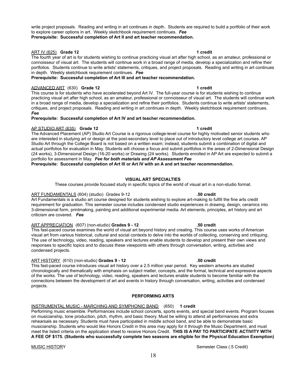write project proposals. Reading and writing in art continues in depth. Students are required to build a portfolio of their work to explore career options in art. Weekly sketchbook requirement continues. *Fee*

**Prerequisite: Successful completion of Art II and art teacher recommendation.**

### ART IV (625) **Grade 12 1 credit**

The fourth year of art is for students wishing to continue practicing visual art after high school, as an amateur, professional or connoisseur of visual art. The students will continue work in a broad range of media, develop a specialization and refine their portfolios. Students continue to write artists' statements, critiques, and project proposals. Reading and writing in art continues in depth. Weekly sketchbook requirement continues. *Fee*

### **Prerequisite: Successful completion of Art III and art teacher recommendation.**

### ADVANCED ART (630) **Grade 12 1 credit**

This course is for students who have accelerated beyond Art IV. The full-year course is for students wishing to continue practicing visual art after high school, as an amateur, professional or connoisseur of visual art. The students will continue work in a broad range of media, develop a specialization and refine their portfolios. Students continue to write artists' statements, critiques, and project proposals. Reading and writing in art continues in depth. Weekly sketchbook requirement continues. *Fee*

### **Prerequisite: Successful completion of Art IV and art teacher recommendation.**

### AP STUDIO ART (635) **Grade 12 1 credit**

The Advanced Placement (AP) Studio Art Course is a rigorous college-level course for highly motivated senior students who are interested in studying art or design at the post-secondary level to place out of introductory level college art courses. AP Studio Art through the College Board is not based on a written exam; instead, students submit a combination of digital and actual portfolios for evaluation in May. Students will choose a focus and submit portfolios in the areas of 2-Dimensional Design (24 works), 3-Dimensional Design (16-20 works) or Drawing (24 works). Students enrolled in AP Art are expected to submit a portfolio for assessment in May. *Fee for both materials and AP Assessment Fee*

**Prerequisite: Successful completion of Art III or Art IV with an A and art teacher recommendation.**

### **VISUAL ART SPECIALTIES**

These courses provide focused study in specific topics of the world of visual art in a non-studio format.

### ART FUNDAMENTALS (604) (studio) Grades 9-12 **.50 credit**

Art Fundamentals is a studio art course designed for students wishing to explore art-making to fulfill the fine arts credit requirement for graduation. This semester course includes condensed studio experiences in drawing, design, ceramics into 3-dimensional form, printmaking, painting and additional experimental media. Art elements, principles, art history and art criticism are covered. *Fee*

#### ART APPRECIATION (607) (non-studio) **Grades 9 - 12 .50 credit**

This fast-paced course examines the world of visual art beyond history and creating. This course uses works of American visual art from various historical, cultural and social contexts to delve into the worlds of collecting, conserving and critiquing. The use of technology, video, reading, speakers and lectures enable students to develop and present their own views and responses to specific topics and to discuss these viewpoints with others through conversation, writing, activities and condensed projects.

#### ART HISTORY (610) (non-studio) **Grades 9 - 12 .50 credit**

This fast-paced course introduces visual art history over a 2.5 million year period. Key western artworks are studied chronologically and thematically with emphasis on subject matter, concepts, and the formal, technical and expressive aspects of the works. The use of technology, video, reading, speakers and lectures enable students to become familiar with the connections between the development of art and events in history through conversation, writing, activities and condensed projects.

### **PERFORMING ARTS**

#### INSTRUMENTAL MUSIC - MARCHING AND SYMPHONIC BAND (650) **1 credit**

Performing music ensemble. Performances include school concerts, sports events, and special band events. Program focuses on musicianship, tone production, pitch, rhythm, and basic theory. Must be willing to attend all performances and extra rehearsals as necessary. Students must have participated in middle school band, and be able to demonstrate basic musicianship. Students who would like Honors Credit in this area may apply for it through the Music Department, and must meet the listed criteria on the application sheet to receive Honors Credit. **THIS IS A PAY TO PARTICIPATE ACTIVITY WITH A FEE OF \$175. (Students who successfully complete two seasons are eligible for the Physical Education Exemption)**

#### MUSIC HISTORY **Semester Class (.5 Credit)** Semester Class (.5 Credit)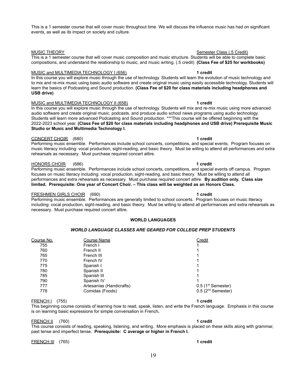This is a 1 semester course that will cover music throughout time. We will discuss the influence music has had on significant events, as well as its impact on society and culture.

MUSIC THEORY **Semester Class (5 Credit)** And MUSIC THEORY This is a 1 semester course that will cover music composition and music structure. Students will be able to complete basic compositions, and understand the relationship to music, and music writing. (.5 credit) **(Class Fee of \$25 for workbooks)**

#### MUSIC and MULTIMEDIA TECHNOLOGY I (656) **1 credit**

In this course you will explore music through the use of technology. Students will learn the evolution of music technology and to mix and re-mix music using basic audio software and create original music using easily accessible technology. Students will learn the basics of Podcasting and Sound production. **(Class Fee of \$20 for class materials including headphones and USB drive)**

#### MUSIC and MULTIMEDIA TECHNOLOGY II (658) **1 credit**

In this course you will explore music through the use of technology. Students will mix and re-mix music using more advanced audio software and create original music, podcasts, and produce audio school news programs using audio technology. Students will learn more advanced Podcasting and Sound production. \*\*\*This course will be offered beginning with the 2022-2023 school year. **(Class Fee of \$20 for class materials including headphones and USB drive) Prerequisite Music Studio or Music and Multimedia Technology I.**

#### CONCERT CHOIR (680) **1 credit**

Performing music ensemble. Performances include school concerts, competitions, and special events. Program focuses on music literacy including: vocal production, sight-reading, and basic theory. Must be willing to attend all performances and extra rehearsals as necessary. Must purchase required concert attire.

#### HONORS CHOIR (686) **1 credit**

Performing music ensemble. Performances include school concerts, competitions, and special events off campus. Program focuses on music literacy including: vocal production, sight-reading, and basic theory. Must be willing to attend all performances and extra rehearsals as necessary. Must purchase required concert attire. **By audition only. Class size limited. Prerequisite: One year of Concert Choir. – This class will be weighted as an Honors Class.**

### FRESHMEN GIRLS CHOIR (690) **1 credit**

Performing music ensemble. Performances are generally limited to school concerts. Program focuses on music literacy including: vocal production, sight-reading, and basic theory. Must be willing to attend all performances and extra rehearsals as necessary. Must purchase required concert attire.

#### **WORLD LANGUAGES**

### *WORLD LANGUAGE CLASSES ARE GEARED FOR COLLEGE PREP STUDENTS*

| Course No. | <b>Course Name</b>       | Credit                           |
|------------|--------------------------|----------------------------------|
| 755        | French I                 |                                  |
| 760        | French II                |                                  |
| 765        | French III               |                                  |
| 770        | French IV                |                                  |
| 775        | Spanish I                |                                  |
| 780        | Spanish II               |                                  |
| 785        | Spanish III              |                                  |
| 790        | Spanish IV               |                                  |
| 777        | Artesanías (Handicrafts) | $0.5$ (1 <sup>st</sup> Semester) |
| 778        | Comidas (Foods)          | $0.5$ ( $2nd$ Semester)          |
|            |                          |                                  |

#### FRENCH I (755) **1 credit**

This beginning course consists of learning how to read, speak, listen, and write the French language. Emphasis in this course is on learning basic expressions for simple conversation in French**.**

#### FRENCH II (760) **1 credit**

This course consists of reading, speaking, listening, and writing. More emphasis is placed on these skills along with grammar, past tense and imperfect tense. **Prerequisite: C average or higher in French I.**

FRENCH III (765) **1 credit**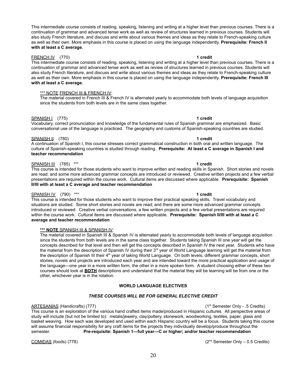$COMIDAS$  (foods) (778)  $(2<sup>nd</sup>$  Semester Only – 0.5 Credits)

20

This intermediate course consists of reading, speaking, listening and writing at a higher level than previous courses. There is a continuation of grammar and advanced tense work as well as review of structures learned in previous courses. Students will also study French literature, and discuss and write about various themes and ideas as they relate to French-speaking culture as well as their own. More emphasis in this course is placed on using the language independently. **Prerequisite: French II with at least a C average.**

#### FRENCH IV (770) **1 credit**

This intermediate course consists of reading, speaking, listening and writing at a higher level than previous courses. There is a continuation of grammar and advanced tense work as well as review of structures learned in previous courses. Students will also study French literature, and discuss and write about various themes and ideas as they relate to French-speaking culture as well as their own. More emphasis in this course is placed on using the language independently. **Prerequisite: French III with at least a C average.**

#### \*\*\* NOTE FRENCH III & FRENCH IV:

The material covered in French III & French IV is alternated yearly to accommodate both levels of language acquisition since the students from both levels are in the same class together.

#### SPANISH I (775) **1 credit**

Vocabulary, correct pronunciation and knowledge of the fundamental rules of Spanish grammar are emphasized. Basic conversational use of the language is practiced. The geography and customs of Spanish-speaking countries are studied.

### SPANISH II (780) **1 credit**

A continuation of Spanish I, this course stresses correct grammatical construction in both oral and written language. The culture of Spanish-speaking countries is studied through reading. **Prerequisite: At least a C average in Spanish I and teacher recommendation**

### SPANISH III (785) \*\*\* **1 credit**

This course is intended for those students who want to improve written and reading skills in Spanish. Short stories and novels are read; and some more advanced grammar concepts are introduced or reviewed. Creative written projects and a few verbal presentations are required within the course work. Cultural items are discussed where applicable. **Prerequisite: Spanish II/III with at least a C average and teacher recommendation**

### SPANISH IV (790) \*\*\* **1 credit**

This course is intended for those students who want to improve their practical speaking skills. Travel vocabulary and situations are studied. Some short stories and novels are read; and there are some more advanced grammar concepts introduced or reviewed. Creative verbal conversations, a few written projects and a few verbal presentations are required within the course work. Cultural items are discussed where applicable. **Prerequisite: Spanish II/III with at least a C average and teacher recommendation**

#### **\*\*\* NOTE** SPANISH III & SPANISH IV:

The material covered in Spanish III & Spanish IV is alternated yearly to accommodate both levels of language acquisition since the students from both levels are in the same class together. Students taking Spanish III one year will get the concepts described for that level and then will get the concepts described in Spanish IV the next year. Students who have the material from the description of Spanish IV during their 3<sup>rd</sup> year of World Language learning will get the material from the description of Spanish III their 4<sup>th</sup> year of taking World Language. On both levels, different grammar concepts, short stories, novels and projects are introduced each year and are intended toward the more practical application and usage of the language—one year in a more written form, the other in a more spoken form. A student choosing either of these two courses should look at **BOTH** descriptions and understand that the material they will be learning will be from one or the other, whichever year is in the rotation.

### **WORLD LANGUAGE ELECTIVES**

### *THESE COURSES WILL BE FOR GENERAL ELECTIVE CREDIT*

#### ARTESANÍAS (Handicrafts) (777) (1st Semester Only - .5 Credits)

This course is an exploration of the various hand crafted items made/produced in Hispanic cultures. All perspective areas of study will include (but not be limited to): metals/jewelry, clay/pottery, stonework, woodworking, textiles, paper, glass and basket weaving. How each was developed and used within each Hispanic country will be a focus. Students taking this course will assume financial responsibility for any craft items for the projects they individually develop/produce throughout the semester. **Pre-requisite: Spanish 1—full year—C or higher; and/or teacher recommendation**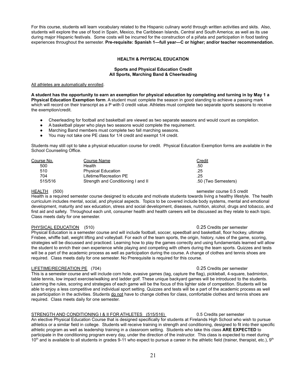For this course, students will learn vocabulary related to the Hispanic culinary world through written activities and skits. Also, students will explore the use of food in Spain, Mexico, the Caribbean Islands, Central and South America; as well as its use during major Hispanic festivals. Some costs will be incurred for the construction of a piñata and participation in food tasting experiences throughout the semester. **Pre-requisite: Spanish 1—full year—C or higher; and/or teacher recommendation.**

#### **HEALTH & PHYSICAL EDUCATION**

#### **Sports and Physical Education Credit All Sports, Marching Band & Cheerleading**

#### All athletes are automatically enrolled.

**A student has the opportunity to earn an exemption for physical education by completing and turning in by May 1 a Physical Education Exemption form**. A student must complete the season in good standing to achieve a passing mark which will record on their transcript as a P with 0 credit value. Athletes must complete two separate sports seasons to receive the exemption/credit.

- Cheerleading for football and basketball are viewed as two separate seasons and would count as completion.
- A basketball player who plays two seasons would complete the requirement.
- Marching Band members must complete two fall marching seasons.
- You may not take one PE class for 1/4 credit and exempt 1/4 credit.

Students may still opt to take a physical education course for credit. Physical Education Exemption forms are available in the School Counseling Office.

| Course No. | Course Name                        | Credit              |
|------------|------------------------------------|---------------------|
| 500        | Health                             | .50                 |
| 510        | <b>Physical Education</b>          | .25                 |
| 704        | Lifetime/Recreation PE             | .25                 |
| 515/516    | Strength and Conditioning I and II | .50 (Two Semesters) |

#### HEALTH (500) semester course 0.5 credit

Health is a required semester course designed to educate and motivate students towards living a healthy lifestyle. The health curriculum includes mental, social, and physical aspects. Topics to be covered include body systems, mental and emotional development, maturity and sex education, stress and social development, diseases, nutrition, alcohol, drugs and tobacco, and first aid and safety. Throughout each unit, consumer health and health careers will be discussed as they relate to each topic. Class meets daily for one semester.

#### PHYSICAL EDUCATION (510) **DETENTION** 1999 O.25 Credits per semester

Physical Education is a semester course and will include football, soccer, speedball and basketball, floor hockey, ultimate Frisbee, whiffle ball, weight lifting and volleyball. For each of the team sports, the origin, history, rules of the game, scoring, strategies will be discussed and practiced. Learning how to play the games correctly and using fundamentals learned will allow the student to enrich their own experience while playing and competing with others during the team sports. Quizzes and tests will be a part of the academic process as well as participation during the course. A change of clothes and tennis shoes are required. Class meets daily for one semester. No Prerequisite is required for this course.

#### LIFETIME/RECREATION PE (704) 25 Credits per semester

This is a semester course and will include corn hole, evasive games (tag, capture the flag), pickleball, 4-square, badminton, table tennis, low impact exercise/walking and ladder golf. These unique backyard games will be introduced to the students. Learning the rules, scoring and strategies of each game will be the focus of this lighter side of competition. Students will be able to enjoy a less competitive and individual sport setting. Quizzes and tests will be a part of the academic process as well as participation in the activities. Students do not have to change clothes for class, comfortable clothes and tennis shoes are required. Class meets daily for one semester.

#### STRENGTH AND CONDITIONING I & II FOR ATHLETES (515/516) 0.5 Credits per semester

An elective Physical Education Course that is designed specifically for students at Firelands High School who wish to pursue athletics or a similar field in college. Students will receive training in strength and conditioning, designed to fit into their specific athletic program as well as leadership training in a classroom setting. Students who take this class **ARE EXPECTED** to participate in the conditioning program every day, under the direction of the instructor. This class is expected to meet during  $10<sup>th</sup>$  and is available to all students in grades 9-11 who expect to pursue a career in the athletic field (trainer, therapist, etc.),  $9<sup>th</sup>$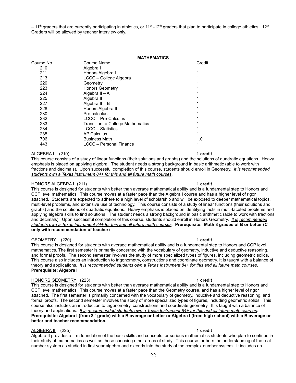$-11<sup>th</sup>$  graders that are currently participating in athletics, or 11<sup>th</sup> -12<sup>th</sup> graders that plan to participate in college athletics. 12<sup>th</sup> Graders will be allowed by teacher interview only.

|            | <b>MATHEMATICS</b>                       |        |  |
|------------|------------------------------------------|--------|--|
| Course No. | Course Name                              | Credit |  |
| 210        | Algebra I                                |        |  |
| 211        | Honors Algebra I                         |        |  |
| 213        | LCCC - College Algebra                   |        |  |
| 220        | Geometry                                 |        |  |
| 223        | <b>Honors Geometry</b>                   |        |  |
| 224        | Algebra II - A                           |        |  |
| 225        | Algebra II                               |        |  |
| 227        | Algebra II - B                           |        |  |
| 228        | Honors Algebra II                        |        |  |
| 230        | Pre-calculus                             |        |  |
| 232        | <b>LCCC - Pre-Calculus</b>               |        |  |
| 233        | <b>Transition to College Mathematics</b> |        |  |
| 234        | <b>LCCC</b> – Statistics                 |        |  |
| 235        | <b>AP Calculus</b>                       |        |  |
| 706        | <b>Business Math</b>                     | 1.0    |  |
| 443        | LCCC - Personal Finance                  |        |  |
|            |                                          |        |  |

#### ALGEBRA I (210) **1 credit**

This course consists of a study of linear functions (their solutions and graphs) and the solutions of quadratic equations. Heavy emphasis is placed on applying algebra. The student needs a strong background in basic arithmetic (able to work with fractions and decimals). Upon successful completion of this course, students should enroll in Geometry. *It is recommended students own a Texas Instrument 84+ for this and all future math courses*.

#### HONORS ALGEBRA I (211) **1 credit**

This course is designed for students with better than average mathematical ability and is a fundamental step to Honors and CCP level mathematics. This course moves at a faster pace than the Algebra I course and has a higher level of rigor attached. Students are expected to adhere to a high level of scholarship and will be exposed to deeper mathematical topics, multi-level problems, and extensive use of technology. This course consists of a study of linear functions (their solutions and graphs) and the solutions of quadratic equations. Heavy emphasis is placed on identifying facts in multi-faceted problems and applying algebra skills to find solutions. The student needs a strong background in basic arithmetic (able to work with fractions and decimals). Upon successful completion of this course, students should enroll in Honors Geometry. *It is recommended students own a Texas Instrument 84+ for this and all future math courses*. **Prerequisite: Math 8 grades of B or better (C only with recommendation of teacher)**

#### GEOMETRY (220) **1 credit**

This course is designed for students with average mathematical ability and is a fundamental step to Honors and CCP level mathematics. The first semester is primarily concerned with the vocabulary of geometry, inductive and deductive reasoning, and formal proofs. The second semester involves the study of more specialized types of figures, including geometric solids. This course also includes an introduction to trigonometry, constructions and coordinate geometry. It is taught with a balance of theory and applications. *It is recommended students own a Texas Instrument 84+ for this and all future math courses*. **Prerequisite: Algebra I**

#### HONORS GEOMETRY (223) **1 credit**

This course is designed for students with better than average mathematical ability and is a fundamental step to Honors and CCP level mathematics. This course moves at a faster pace than the Geometry course, and has a higher level of rigor attached. The first semester is primarily concerned with the vocabulary of geometry, inductive and deductive reasoning, and formal proofs. The second semester involves the study of more specialized types of figures, including geometric solids. This course also includes an introduction to trigonometry, constructions and coordinate geometry. It is taught with a balance of theory and applications. *It is recommended students own a Texas Instrument 84+ for this and all future math courses*. **Prerequisite: Algebra I (from 8th grade) with a B average or better or Algebra I (from high school) with a B average or better and teacher recommendation.**

#### ALGEBRA II (225) **1 credit**

Algebra II provides a firm foundation of the basic skills and concepts for serious mathematics students who plan to continue in their study of mathematics as well as those choosing other areas of study. This course furthers the understanding of the real number system as studied in first year algebra and extends into the study of the complex number system. It includes an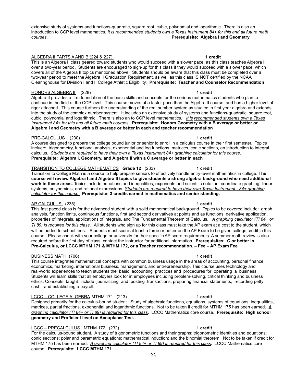extensive study of systems and functions-quadratic, square root, cubic, polynomial and logarithmic. There is also an introduction to CCP level mathematics. *It is recommended students own a Texas Instrument 84+ for this and all future math courses*. **Prerequisite: Algebra I and Geometry**

### ALGEBRA II PARTS A AND B (224 & 227) **1 credit**

This is an Algebra II class geared toward students who would succeed with a slower pace, as this class teaches Algebra II over a two-year period. Students are encouraged to sign-up for this class if they would succeed with a slower pace, which covers all of the Algebra II topics mentioned above. Students should be aware that this class must be completed over a two-year period to meet the Algebra II Graduation Requirement, as well as this class IS NOT certified by the NCAA Clearinghouse for Division I and II College Athletic Eligibility. **Prerequisite: Teacher and Counselor Recommendation**

### HONORS ALGEBRA II (228) **1 credit**

Algebra II provides a firm foundation of the basic skills and concepts for the serious mathematics students who plan to continue in the field at the CCP level. This course moves at a faster pace than the Algebra II course, and has a higher level of rigor attached. This course furthers the understanding of the real number system as studied in first year algebra and extends into the study of the complex number system. It includes an extensive study of systems and functions-quadratic, square root, cubic, polynomial and logarithmic. There is also an to CCP level mathematics. . *It is recommended students own a Texas Instrument 84+ for this and all future math courses*. **Prerequisite: Honors Geometry with a B average or better or Algebra I and Geometry with a B average or better in each and teacher recommendation**

### PRE-CALCULUS (230) **1 credit**

A course designed to prepare the college bound junior or senior to enroll in a calculus course in their first semester. Topics include: trigonometry, functional analysis, exponential and log functions, matrices, conic sections, an introduction to integral calculus. *Students are required to have their own a Texas Instrument 84+ graphing calculator for this course.* **Prerequisite: Algebra I, Geometry, and Algebra II with a C average or better in each**

### TRANSITION TO COLLEGE MATHEMATICS **Grade 12** (233) **1 credit**

Transition to College Math is a course to help prepare seniors to effectively handle entry-level mathematics in college. **The course will review Algebra I and Algebra II topics to give students a strong algebra background who need additional work in these areas.** Topics include equations and inequalities, exponents and scientific notation, coordinate graphing, linear systems, polynomials, and rational expressions. *Students are required to have their own Texas Instrument - 84+ graphing calculator for this course.* **Prerequisite: 3 credits earned in mathematics and senior standing.**

### AP CALCULUS (235) **1 credit**

This fast paced class is for the advanced student with a solid mathematical background. Topics to be covered include: graph analysis, function limits, continuous functions, first and second derivatives at points and as functions, derivative application, properties of integrals, applications of integrals, and The Fundamental Theorem of Calculus. *A graphing calculator (TI 84+ or TI 89) is required for this class*. All students who sign up for this class must take the AP exam at a cost to the student, which will be added to school fees. Students must score at least a three or better on the AP Exam to be given college credit in this course. Please check with your college or university for their specific AP score requirements. A summer math review is also required before the first day of class; contact the instructor for additional information. **Prerequisites: C or better in Pre-Calculus, or LCCC MTHM 171 & MTHM 172, or a Teacher recommendation. – Fee – AP Exam Fee**

### BUSINESS MATH (706) **1 credit**

This course integrates mathematical concepts with common business usage in the areas of accounting, personal finance, economics, marketing, international business, management, and entrepreneurship. This course uses technology and real-world experiences to teach students the basic accounting practices and procedures for operating a business. Students will learn skills that all employers look for in employees including problem-solving, critical thinking and business ethics. Concepts taught include journalizing and posting transactions, preparing financial statements, recording petty cash, and establishing a payroll.

### LCCC – COLLEGE ALGEBRA MTHM 171 (213) **1 credit**

Designed primarily for the calculus-bound student. Study of algebraic functions, equations, systems of equations, inequalities, matrices, partial fractions, exponential and logarithmic functions. Not to be taken if credit for MTHM 175 has been earned. *A graphing calculator (TI 84+ or TI 89) is required for this class*. LCCC Mathematics core course. **Prerequisite: High school geometry and Proficient level on Accuplacer Test.**

### LCCC – PRECALCULUS MTHM 172 (232) **1 credit**

For the calculus-bound student. A study of trigonometric functions and their graphs; trigonometric identities and equations; conic sections; polar and parametric equations; mathematical induction; and the binomial theorem. Not to be taken if credit for MTHM 175 has been earned. *A graphing calculator (TI 84+ or TI 89) is required for this class*. LCCC Mathematics core course. **Prerequisite: LCCC MTHM 171**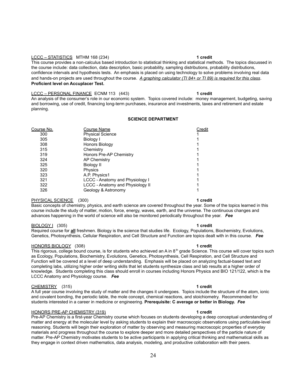#### LCCC – STATISTICS MTHM 168 (234) **1 credit**

This course provides a non-calculus based introduction to statistical thinking and statistical methods. The topics discussed in the course include: data collection, data description, basic probability, sampling distributions, probability distributions, confidence intervals and hypothesis tests. An emphasis is placed on using technology to solve problems involving real data and hands-on projects are used throughout the course. *A graphing calculator (TI 84+ or TI 89) is required for this class*. **Proficient level on Accuplacer Test.**

#### LCCC – PERSONAL FINANCE ECNM 113 (443) **1 credit**

An analysis of the consumer's role in our economic system. Topics covered include: money management, budgeting, saving and borrowing, use of credit, financing long-term purchases, insurance and investments, taxes and retirement and estate planning.

#### **SCIENCE DEPARTMENT**

| Course No. | Course Name                             | Credit |
|------------|-----------------------------------------|--------|
| 300        | <b>Physical Science</b>                 |        |
| 305        | Biology I                               |        |
| 308        | Honors Biology                          |        |
| 315        | Chemistry                               |        |
| 319        | Honors Pre-AP Chemistry                 |        |
| 324        | <b>AP Chemistry</b>                     |        |
| 325        | Biology II                              |        |
| 320        | Physics                                 |        |
| 323        | A.P. Physics1                           |        |
| 321        | <b>LCCC</b> - Anatomy and Physiology I  |        |
| 322        | <b>LCCC - Anatomy and Physiology II</b> |        |
| 326        | Geology & Astronomy                     |        |
|            |                                         |        |

#### PHYSICAL SCIENCE (300) **1 credit**

Basic concepts of chemistry, physics, and earth science are covered throughout the year. Some of the topics learned in this course include the study of matter, motion, force, energy, waves, earth, and the universe. The continuous changes and advances happening in the world of science will also be monitored periodically throughout the year. *Fee*

#### BIOLOGY I (305) **1 credit**

Required course for **all** freshmen. Biology is the science that studies life. Ecology, Populations, Biochemistry, Evolutions, Genetics, Photosynthesis, Cellular Respiration, and Cell Structure and Function are topics dealt with in this course. *Fee*

#### HONORS BIOLOGY (308) **1 credit**

This rigorous, college bound course, is for students who achieved an A in 8<sup>th</sup> grade Science. This course will cover topics such as Ecology, Populations, Biochemistry, Evolutions, Genetics, Photosynthesis, Cell Respiration, and Cell Structure and Function will be covered at a level of deep understanding. Emphasis will be placed on analyzing factual-based text and completing labs, utilizing higher order writing skills that let students synthesize class and lab results at a higher order of knowledge. Students completing this class should enroll in courses including Honors Physics and BIO 121/122, which is the LCCC Anatomy and Physiology course. *Fee*

#### CHEMISTRY (315) **1 credit**

A full year course involving the study of matter and the changes it undergoes. Topics include the structure of the atom, ionic and covalent bonding, the periodic table, the mole concept, chemical reactions, and stoichiometry. Recommended for students interested in a career in medicine or engineering. **Prerequisite: C average or better in Biology.** *Fee*

#### HONORS PRE-AP CHEMISTRY (319) **1 credit**

Pre-AP Chemistry is a first-year Chemistry course which focuses on students developing a deep conceptual understanding of matter and energy at the molecular level by asking students to explain their macroscopic observations using particulate-level reasoning. Students will begin their exploration of matter by observing and measuring macroscopic properties of everyday materials and progress throughout the course to explore deeper and more detailed perspectives of the particle nature of matter. Pre-AP Chemistry motivates students to be active participants in applying critical thinking and mathematical skills as they engage in context driven mathematics, data analysis, modeling, and productive collaboration with their peers.

### 24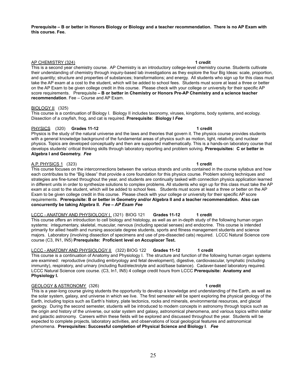**Prerequisite – B or better in Honors Biology or Biology and a teacher recommendation. There is no AP Exam with this course. Fee.**

#### AP CHEMISTRY (324) **1 credit**

This is a second year chemistry course. AP Chemistry is an introductory college-level chemistry course. Students cultivate their understanding of chemistry through inquiry-based lab investigations as they explore the four Big Ideas: scale, proportion, and quantity; structure and properties of substances; transformations; and energy. All students who sign up for this class must take the AP exam at a cost to the student, which will be added to school fees. Students must score at least a three or better on the AP Exam to be given college credit in this course. Please check with your college or university for their specific AP score requirements. Prerequisite **– B or better in Chemistry or Honors Pre-AP Chemistry and a science teacher recommendation**. Fee – Course and AP Exam.

#### BIOLOGY II (325)

This course is a continuation of Biology I. Biology II includes taxonomy, viruses, kingdoms, body systems, and ecology. Dissection of a crayfish, frog, and cat is required. **Prerequisite: Biology I** *Fee*

### PHYSICS (320) **Grades 11-12 1 credit**

Physics is the study of the natural universe and the laws and theories that govern it. The physics course provides students with a general knowledge background of the fundamental areas of physics such as motion, light, relativity, and nuclear physics. Topics are developed conceptually and then are supported mathematically. This is a hands-on laboratory course that develops students' critical thinking skills through laboratory reporting and problem solving. **Prerequisites: C or better in Algebra I and Geometry.** *Fee*

#### A.P. PHYSICS 1 (323) **1 credit**

This course focuses on the interconnections between the various strands and units contained in the course syllabus and how each contributes to the "Big Ideas" that provide a core foundation for this physics course. Problem solving techniques and strategies are fine-tuned throughout the year, and students are continually tasked with connection physics application learned in different units in order to synthesize solutions to complex problems. All students who sign up for this class must take the AP exam at a cost to the student, which will be added to school fees. Students must score at least a three or better on the AP Exam to be given college credit in this course. Please check with your college or university for their specific AP score requirements. **Prerequisite: B or better in Geometry and/or Algebra II and a teacher recommendation. Also can concurrently be taking Algebra II.** *Fee – AP Exam Fee*

### LCCC - ANATOMY AND PHYSIOLOGY I (321) BIOG 121 **Grades 11-12 1 credit**

This course offers an introduction to cell biology and histology, as well as an in-depth study of the following human organ systems: integumentary, skeletal, muscular, nervous (including special senses) and endocrine. This course is intended primarily for allied health and nursing associate degree students, sports and fitness management students and science majors. Laboratory (involving dissection of specimens and use of pre-dissected cats) required. LCCC Natural Science core course (C3, IN1, IN5) **Prerequisite: Proficient level on Accuplacer Test.**

### LCCC - ANATOMY AND PHYSIOLOGY II (322) BIOG 122 **Grades 11-12 1 credit**

This course is a continuation of Anatomy and Physiology I. The structure and function of the following human organ systems are examined: reproductive (including embryology and fetal development), digestive, cardiovascular, lymphatic (including immunity), respiratory, and urinary (including fluid/electrolyte and acid/base balance). Cadaver-based laboratory required. LCCC Natural Science core course. (C3, In1, IN5) 4 college credit hours from LCCC **Prerequisite: Anatomy and Physiology I.**

#### GEOLOGY & ASTRONOMY (326) **1 credit**

This is a year-long course giving students the opportunity to develop a knowledge and understanding of the Earth, as well as the solar system, galaxy, and universe in which we live. The first semester will be spent exploring the physical geology of the Earth, including topics such as Earth's history, plate tectonics, rocks and minerals, environmental resources, and glacial geology. During the second semester, students will be introduced to modern concepts in astronomy through topics such as the origin and history of the universe, our solar system and galaxy, astronomical phenomena, and various topics within stellar and galactic astronomy. Careers within these fields will be explored and discussed throughout the year. Students will be expected to complete projects, laboratory activities, and observations of local geological features and astronomical phenomena. **Prerequisites: Successful completion of Physical Science and Biology I**. *Fee*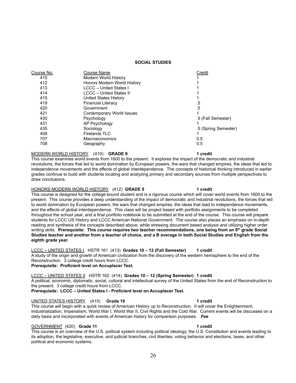#### **SOCIAL STUDIES**

| <u>Course No.</u> | Course Name                   | Credit               |
|-------------------|-------------------------------|----------------------|
| 410               | Modern World History          |                      |
| 412               | Honors Modern World History   |                      |
| 413               | <b>LCCC - United States I</b> |                      |
| 414               | LCCC - United States II       |                      |
| 415               | United States History         |                      |
| 419               | <b>Financial Literacy</b>     | .5                   |
| 420               | Government                    | .5                   |
| 421               | Contemporary World Issues     |                      |
| 430               | Psychology                    | .5 (Fall Semester)   |
| 431               | AP Psychology                 |                      |
| 435               | Sociology                     | .5 (Spring Semester) |
| 408               | Firelands TLC                 |                      |
| 707               | Macroeconomics                | 0.5                  |
| 708               | Geography                     | 0.5                  |
|                   |                               |                      |

### MODERN WORLD HISTORY (410) **GRADE 9 1 credit**

This course examines world events from 1600 to the present. It explores the impact of the democratic and industrial revolutions, the forces that led to world domination by European powers, the wars that changed empires, the ideas that led to independence movements and the effects of global interdependence. The concepts of historical thinking introduced in earlier grades continue to build with students locating and analyzing primary and secondary sources from multiple perspectives to draw conclusions.

#### HONORS MODERN WORLD HISTORY (412) **GRADE 9 1 credit**

This course is designed for the college-bound student and is a rigorous course which will cover world events from 1600 to the present. This course provides a deep understanding of the impact of democratic and industrial revolutions, the forces that led to world domination by European powers, the wars that changed empires, the ideas that lead to independence movements, and the effects of global interdependence. This class will be project based with portfolio assignments to be completed throughout the school year, and a final portfolio notebook to be submitted at the end of the course. This course will prepare students for LCCC US History and LCCC American National Government. The course also places an emphasis on in-depth reading and synthesis of the concepts described above, while stressing document based analysis and utilizing higher order writing skills. **Prerequisite: This course requires two teacher recommendations, one being from an 8th grade Social Studies teacher and another from a teacher of choice, and a B average in both Social Studies and English from the eighth grade year.**

LCCC – UNITED STATES I HSTR 161 (413) **Grades 10 – 12 (Fall Semester) 1 credit** A study of the origin and growth of American civilization from the discovery of the western hemisphere to the end of the Reconstruction. 3 college credit hours from LCCC. **Prerequisite: Proficient level on Accuplacer Test.**

#### LCCC – UNITED STATES II HSTR 162 (414) **Grades 10 – 12 (Spring Semester) 1 credit**

A political, economic, diplomatic, social, cultural and intellectual survey of the United States from the end of Reconstruction to the present. 3 college credit hours from LCCC.

**Prerequisite: LCCC – United States I - Proficient level on Accuplacer Test.**

#### UNITED STATES HISTORY (415) **Grade 10 1 credit**

This course will begin with a quick review of American History up to Reconstruction. It will cover the Enlightenment, Industrialization, Imperialism, World War I, World War II, Civil Rights and the Cold War. Current events will be discussed on a daily basis and incorporated with events of American history for comparison purposes. *Fee*

#### GOVERNMENT (420) **Grade 11 1 credit**

This course is an overview of the U.S. political system including political ideology, the U.S. Constitution and events leading to its adoption, the legislative, executive, and judicial branches, civil liberties, voting behavior and elections, taxes, and other political and economic systems.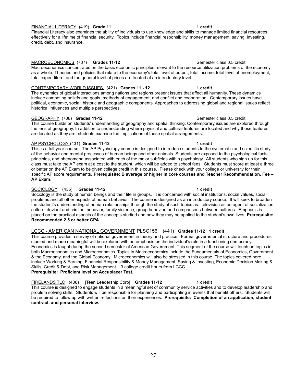#### FINANCIAL LITERACY (419) **Grade 11 1 credit**

Financial Literacy also examines the ability of individuals to use knowledge and skills to manage limited financial resources effectively for a lifetime of financial security. Topics include financial responsibility, money management, saving, investing, credit, debt, and insurance.

#### MACROECONOMICS (707) **Grades 11-12** Semester class 0.5 credit

Macroeconomics concentrates on the basic economic principles relevant to the resource utilization problems of the economy as a whole. Theories and policies that relate to the economy's total level of output, total income, total level of unemployment, total expenditure, and the general level of prices are treated at an introductory level.

#### CONTEMPORARY WORLD ISSUES (421) **Grades 11 - 12 1 credit**

The dynamics of global interactions among nations and regions present issues that affect all humanity. These dynamics include competing beliefs and goals, methods of engagement, and conflict and cooperation. Contemporary issues have political, economic, social, historic and geographic components. Approaches to addressing global and regional issues reflect historical influences and multiple perspectives.

### GEOGRAPHY (708) **Grades 11-12** Semester class 0.5 credit

This course builds on students' understanding of geography and spatial thinking. Contemporary issues are explored through the lens of geography. In addition to understanding where physical and cultural features are located and why those features are located as they are, students examine the implications of these spatial arrangements.

### AP PSYCHOLOGY (431) **Grades 11-12 1 credit**

This is a full-year course. The AP Psychology course is designed to introduce students to the systematic and scientific study of the behavior and mental processes of human beings and other animals. Students are exposed to the psychological facts, principles, and phenomena associated with each of the major subfields within psychology. All students who sign up for this class must take the AP exam at a cost to the student, which will be added to school fees. Students must score at least a three or better on the AP Exam to be given college credit in this course. Please check with your college or university for their specific AP score requirements. **Prerequisite: B average or higher in core courses and Teacher Recommendation. Fee – AP Exam**.

### SOCIOLOGY (435) **Grades 11-12 1 credit**

Sociology is the study of human beings and their life in groups. It is concerned with social institutions, social values, social problems and all other aspects of human behavior. The course is designed as an introductory course. It will seek to broaden the student's understanding of human relationships through the study of such topics as: television as an agent of socialization, culture, deviant and criminal behavior, family violence, group behavior, and comparisons between cultures. Emphasis is placed on the practical aspects of the concepts studied and how they may be applied to the student's own lives. **Prerequisite: Recommended 2.5 or better GPA**

### LCCC - AMERICAN NATIONAL GOVERNMENT PLSC156 (441) **Grades 11-12 1 credit**

This course provides a survey of national government in theory and practice. Formal governmental structure and procedures studied and made meaningful will be explored with an emphasis on the individual's role in a functioning democracy. Economics is taught during the second semester of American Government. This segment of the course will touch on topics in both Macroeconomics and Microeconomics. Topics in Macroeconomics include the Fundamentals of Economics, Government & the Economy, and the Global Economy. Microeconomics will also be stressed in this course. The topics covered here include Working & Earning, Financial Responsibility & Money Management, Saving & Investing, Economic Decision Making & Skills, Credit & Debt, and Risk Management. 3 college credit hours from LCCC. **Prerequisite: Proficient level on Accuplacer Test.**

FIRELANDS TLC (408) [Teen Leadership Corp] **Grades 11-12 1 credit** This course is designed to engage students in a meaningful set of community service activities and to develop leadership and problem solving skills. Students will be responsible for planning and participating in events that benefit others. Students will be required to follow up with written reflections on their experiences. **Prerequisite: Completion of an application, student contract, and personal interview.**